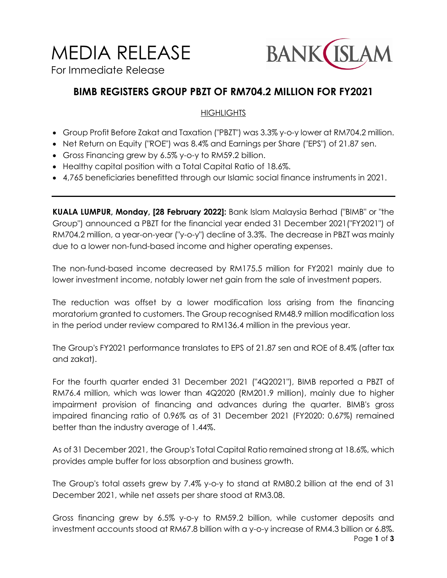# MEDIA RELEASE

For Immediate Release



## **BIMB REGISTERS GROUP PBZT OF RM704.2 MILLION FOR FY2021**

## **HIGHLIGHTS**

- Group Profit Before Zakat and Taxation ("PBZT") was 3.3% y-o-y lower at RM704.2 million.
- Net Return on Equity ("ROE") was 8.4% and Earnings per Share ("EPS") of 21.87 sen.
- Gross Financing grew by 6.5% y-o-y to RM59.2 billion.
- Healthy capital position with a Total Capital Ratio of 18.6%.
- 4,765 beneficiaries benefitted through our Islamic social finance instruments in 2021.

**KUALA LUMPUR, Monday, [28 February 2022]:** Bank Islam Malaysia Berhad ("BIMB" or "the Group") announced a PBZT for the financial year ended 31 December 2021("FY2021") of RM704.2 million, a year-on-year ("y-o-y") decline of 3.3%. The decrease in PBZT was mainly due to a lower non-fund-based income and higher operating expenses.

The non-fund-based income decreased by RM175.5 million for FY2021 mainly due to lower investment income, notably lower net gain from the sale of investment papers.

The reduction was offset by a lower modification loss arising from the financing moratorium granted to customers. The Group recognised RM48.9 million modification loss in the period under review compared to RM136.4 million in the previous year.

The Group's FY2021 performance translates to EPS of 21.87 sen and ROE of 8.4% (after tax and zakat).

For the fourth quarter ended 31 December 2021 ("4Q2021"), BIMB reported a PBZT of RM76.4 million, which was lower than 4Q2020 (RM201.9 million), mainly due to higher impairment provision of financing and advances during the quarter. BIMB's gross impaired financing ratio of 0.96% as of 31 December 2021 (FY2020: 0.67%) remained better than the industry average of 1.44%.

As of 31 December 2021, the Group's Total Capital Ratio remained strong at 18.6%, which provides ample buffer for loss absorption and business growth.

The Group's total assets grew by 7.4% y-o-y to stand at RM80.2 billion at the end of 31 December 2021, while net assets per share stood at RM3.08.

Page **1** of **3** Gross financing grew by 6.5% y-o-y to RM59.2 billion, while customer deposits and investment accounts stood at RM67.8 billion with a y-o-y increase of RM4.3 billion or 6.8%.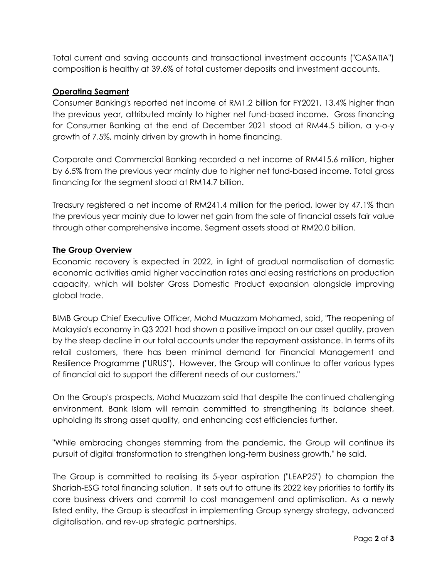Total current and saving accounts and transactional investment accounts ("CASATIA") composition is healthy at 39.6% of total customer deposits and investment accounts.

### **Operating Segment**

Consumer Banking's reported net income of RM1.2 billion for FY2021, 13.4% higher than the previous year, attributed mainly to higher net fund-based income. Gross financing for Consumer Banking at the end of December 2021 stood at RM44.5 billion, a y-o-y growth of 7.5%, mainly driven by growth in home financing.

Corporate and Commercial Banking recorded a net income of RM415.6 million, higher by 6.5% from the previous year mainly due to higher net fund-based income. Total gross financing for the segment stood at RM14.7 billion.

Treasury registered a net income of RM241.4 million for the period, lower by 47.1% than the previous year mainly due to lower net gain from the sale of financial assets fair value through other comprehensive income. Segment assets stood at RM20.0 billion.

#### **The Group Overview**

Economic recovery is expected in 2022, in light of gradual normalisation of domestic economic activities amid higher vaccination rates and easing restrictions on production capacity, which will bolster Gross Domestic Product expansion alongside improving global trade.

BIMB Group Chief Executive Officer, Mohd Muazzam Mohamed, said, "The reopening of Malaysia's economy in Q3 2021 had shown a positive impact on our asset quality, proven by the steep decline in our total accounts under the repayment assistance. In terms of its retail customers, there has been minimal demand for Financial Management and Resilience Programme ("URUS"). However, the Group will continue to offer various types of financial aid to support the different needs of our customers."

On the Group's prospects, Mohd Muazzam said that despite the continued challenging environment, Bank Islam will remain committed to strengthening its balance sheet, upholding its strong asset quality, and enhancing cost efficiencies further.

"While embracing changes stemming from the pandemic, the Group will continue its pursuit of digital transformation to strengthen long-term business growth," he said.

The Group is committed to realising its 5-year aspiration ("LEAP25") to champion the Shariah-ESG total financing solution. It sets out to attune its 2022 key priorities to fortify its core business drivers and commit to cost management and optimisation. As a newly listed entity, the Group is steadfast in implementing Group synergy strategy, advanced digitalisation, and rev-up strategic partnerships.